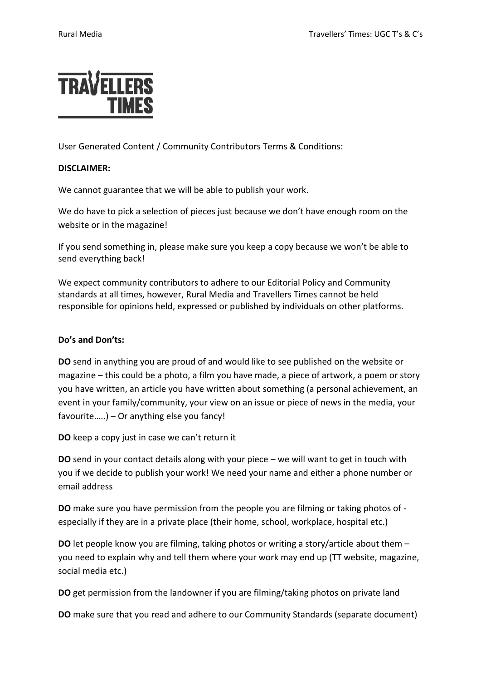

User Generated Content / Community Contributors Terms & Conditions:

## **DISCLAIMER:**

We cannot guarantee that we will be able to publish your work.

We do have to pick a selection of pieces just because we don't have enough room on the website or in the magazine!

If you send something in, please make sure you keep a copy because we won't be able to send everything back!

We expect community contributors to adhere to our Editorial Policy and Community standards at all times, however, Rural Media and Travellers Times cannot be held responsible for opinions held, expressed or published by individuals on other platforms.

## **Do's and Don'ts:**

**DO** send in anything you are proud of and would like to see published on the website or magazine – this could be a photo, a film you have made, a piece of artwork, a poem or story you have written, an article you have written about something (a personal achievement, an event in your family/community, your view on an issue or piece of news in the media, your favourite…..) – Or anything else you fancy!

**DO** keep a copy just in case we can't return it

**DO** send in your contact details along with your piece – we will want to get in touch with you if we decide to publish your work! We need your name and either a phone number or email address

**DO** make sure you have permission from the people you are filming or taking photos of especially if they are in a private place (their home, school, workplace, hospital etc.)

**DO** let people know you are filming, taking photos or writing a story/article about them – you need to explain why and tell them where your work may end up (TT website, magazine, social media etc.)

**DO** get permission from the landowner if you are filming/taking photos on private land

**DO** make sure that you read and adhere to our Community Standards (separate document)